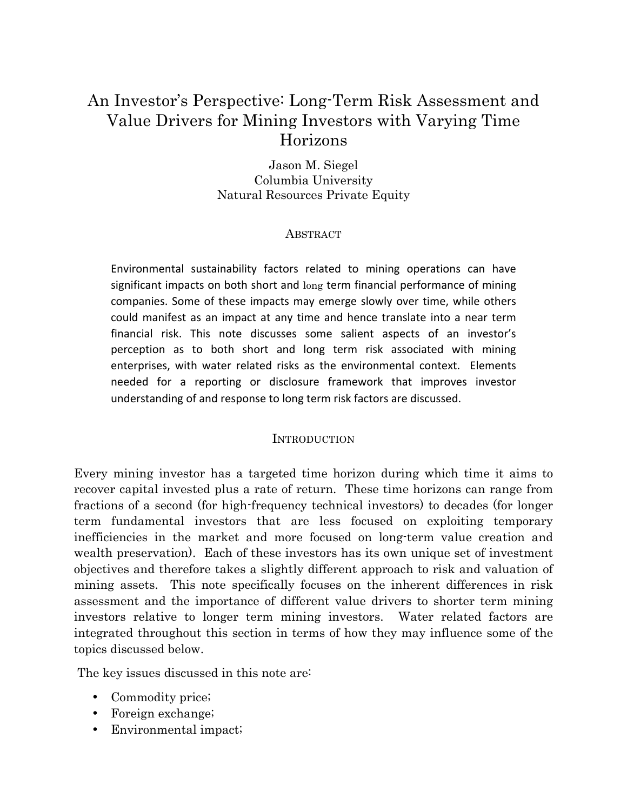# An Investor's Perspective: Long-Term Risk Assessment and Value Drivers for Mining Investors with Varying Time Horizons

Jason M. Siegel Columbia University Natural Resources Private Equity

### **ABSTRACT**

Environmental sustainability factors related to mining operations can have significant impacts on both short and long term financial performance of mining companies. Some of these impacts may emerge slowly over time, while others could manifest as an impact at any time and hence translate into a near term financial risk. This note discusses some salient aspects of an investor's perception as to both short and long term risk associated with mining enterprises, with water related risks as the environmental context. Elements needed for a reporting or disclosure framework that improves investor understanding of and response to long term risk factors are discussed.

#### **INTRODUCTION**

Every mining investor has a targeted time horizon during which time it aims to recover capital invested plus a rate of return. These time horizons can range from fractions of a second (for high-frequency technical investors) to decades (for longer term fundamental investors that are less focused on exploiting temporary inefficiencies in the market and more focused on long-term value creation and wealth preservation). Each of these investors has its own unique set of investment objectives and therefore takes a slightly different approach to risk and valuation of mining assets. This note specifically focuses on the inherent differences in risk assessment and the importance of different value drivers to shorter term mining investors relative to longer term mining investors. Water related factors are integrated throughout this section in terms of how they may influence some of the topics discussed below.

The key issues discussed in this note are:

- Commodity price;
- Foreign exchange;
- Environmental impact;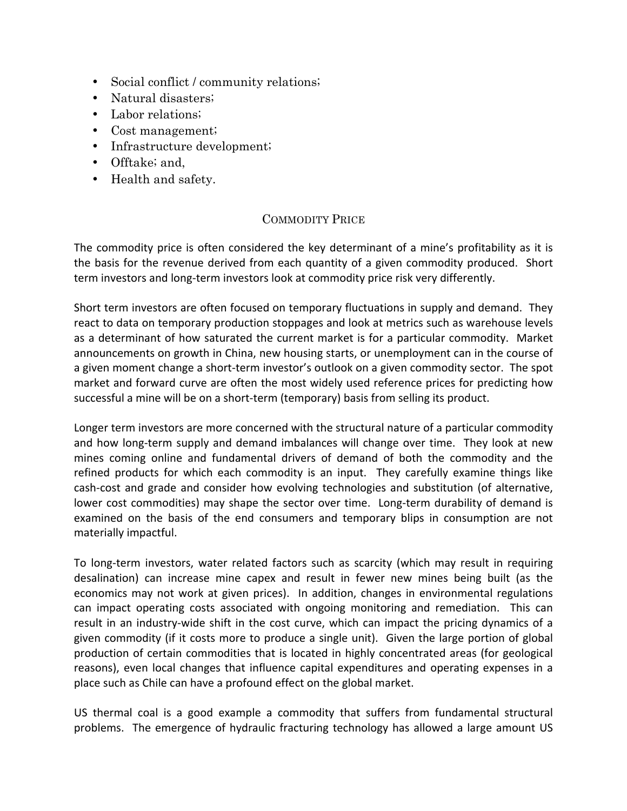- Social conflict / community relations;
- Natural disasters;
- Labor relations;
- Cost management;
- Infrastructure development;
- Offtake; and,
- Health and safety.

# COMMODITY PRICE

The commodity price is often considered the key determinant of a mine's profitability as it is the basis for the revenue derived from each quantity of a given commodity produced. Short term investors and long-term investors look at commodity price risk very differently.

Short term investors are often focused on temporary fluctuations in supply and demand. They react to data on temporary production stoppages and look at metrics such as warehouse levels as a determinant of how saturated the current market is for a particular commodity. Market announcements on growth in China, new housing starts, or unemployment can in the course of a given moment change a short-term investor's outlook on a given commodity sector. The spot market and forward curve are often the most widely used reference prices for predicting how successful a mine will be on a short-term (temporary) basis from selling its product.

Longer term investors are more concerned with the structural nature of a particular commodity and how long-term supply and demand imbalances will change over time. They look at new mines coming online and fundamental drivers of demand of both the commodity and the refined products for which each commodity is an input. They carefully examine things like cash-cost and grade and consider how evolving technologies and substitution (of alternative, lower cost commodities) may shape the sector over time. Long-term durability of demand is examined on the basis of the end consumers and temporary blips in consumption are not materially impactful.

To long-term investors, water related factors such as scarcity (which may result in requiring desalination) can increase mine capex and result in fewer new mines being built (as the economics may not work at given prices). In addition, changes in environmental regulations can impact operating costs associated with ongoing monitoring and remediation. This can result in an industry-wide shift in the cost curve, which can impact the pricing dynamics of a given commodity (if it costs more to produce a single unit). Given the large portion of global production of certain commodities that is located in highly concentrated areas (for geological reasons), even local changes that influence capital expenditures and operating expenses in a place such as Chile can have a profound effect on the global market.

US thermal coal is a good example a commodity that suffers from fundamental structural problems. The emergence of hydraulic fracturing technology has allowed a large amount US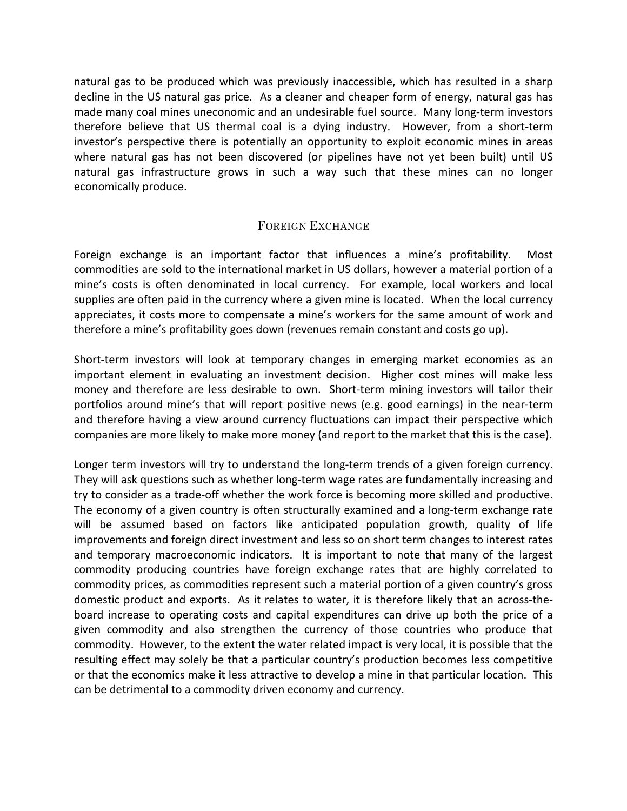natural gas to be produced which was previously inaccessible, which has resulted in a sharp decline in the US natural gas price. As a cleaner and cheaper form of energy, natural gas has made many coal mines uneconomic and an undesirable fuel source. Many long-term investors therefore believe that US thermal coal is a dying industry. However, from a short-term investor's perspective there is potentially an opportunity to exploit economic mines in areas where natural gas has not been discovered (or pipelines have not yet been built) until US natural gas infrastructure grows in such a way such that these mines can no longer economically produce.

## FOREIGN EXCHANGE

Foreign exchange is an important factor that influences a mine's profitability. Most commodities are sold to the international market in US dollars, however a material portion of a mine's costs is often denominated in local currency. For example, local workers and local supplies are often paid in the currency where a given mine is located. When the local currency appreciates, it costs more to compensate a mine's workers for the same amount of work and therefore a mine's profitability goes down (revenues remain constant and costs go up).

Short-term investors will look at temporary changes in emerging market economies as an important element in evaluating an investment decision. Higher cost mines will make less money and therefore are less desirable to own. Short-term mining investors will tailor their portfolios around mine's that will report positive news (e.g. good earnings) in the near-term and therefore having a view around currency fluctuations can impact their perspective which companies are more likely to make more money (and report to the market that this is the case).

Longer term investors will try to understand the long-term trends of a given foreign currency. They will ask questions such as whether long-term wage rates are fundamentally increasing and try to consider as a trade-off whether the work force is becoming more skilled and productive. The economy of a given country is often structurally examined and a long-term exchange rate will be assumed based on factors like anticipated population growth, quality of life improvements and foreign direct investment and less so on short term changes to interest rates and temporary macroeconomic indicators. It is important to note that many of the largest commodity producing countries have foreign exchange rates that are highly correlated to commodity prices, as commodities represent such a material portion of a given country's gross domestic product and exports. As it relates to water, it is therefore likely that an across-theboard increase to operating costs and capital expenditures can drive up both the price of a given commodity and also strengthen the currency of those countries who produce that commodity. However, to the extent the water related impact is very local, it is possible that the resulting effect may solely be that a particular country's production becomes less competitive or that the economics make it less attractive to develop a mine in that particular location. This can be detrimental to a commodity driven economy and currency.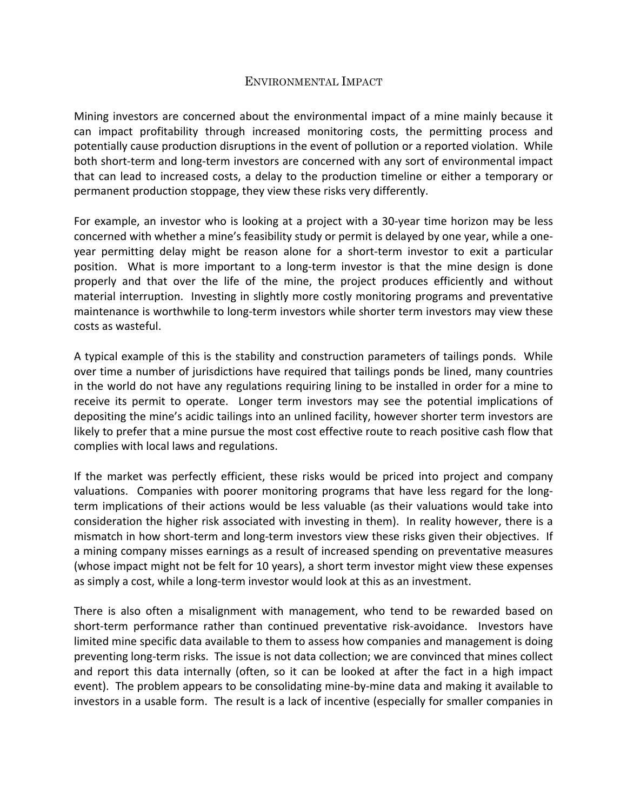### ENVIRONMENTAL IMPACT

Mining investors are concerned about the environmental impact of a mine mainly because it can impact profitability through increased monitoring costs, the permitting process and potentially cause production disruptions in the event of pollution or a reported violation. While both short-term and long-term investors are concerned with any sort of environmental impact that can lead to increased costs, a delay to the production timeline or either a temporary or permanent production stoppage, they view these risks very differently.

For example, an investor who is looking at a project with a 30-year time horizon may be less concerned with whether a mine's feasibility study or permit is delayed by one year, while a oneyear permitting delay might be reason alone for a short-term investor to exit a particular position. What is more important to a long-term investor is that the mine design is done properly and that over the life of the mine, the project produces efficiently and without material interruption. Investing in slightly more costly monitoring programs and preventative maintenance is worthwhile to long-term investors while shorter term investors may view these costs as wasteful.

A typical example of this is the stability and construction parameters of tailings ponds. While over time a number of jurisdictions have required that tailings ponds be lined, many countries in the world do not have any regulations requiring lining to be installed in order for a mine to receive its permit to operate. Longer term investors may see the potential implications of depositing the mine's acidic tailings into an unlined facility, however shorter term investors are likely to prefer that a mine pursue the most cost effective route to reach positive cash flow that complies with local laws and regulations.

If the market was perfectly efficient, these risks would be priced into project and company valuations. Companies with poorer monitoring programs that have less regard for the longterm implications of their actions would be less valuable (as their valuations would take into consideration the higher risk associated with investing in them). In reality however, there is a mismatch in how short-term and long-term investors view these risks given their objectives. If a mining company misses earnings as a result of increased spending on preventative measures (whose impact might not be felt for 10 years), a short term investor might view these expenses as simply a cost, while a long-term investor would look at this as an investment.

There is also often a misalignment with management, who tend to be rewarded based on short-term performance rather than continued preventative risk-avoidance. Investors have limited mine specific data available to them to assess how companies and management is doing preventing long-term risks. The issue is not data collection; we are convinced that mines collect and report this data internally (often, so it can be looked at after the fact in a high impact event). The problem appears to be consolidating mine-by-mine data and making it available to investors in a usable form. The result is a lack of incentive (especially for smaller companies in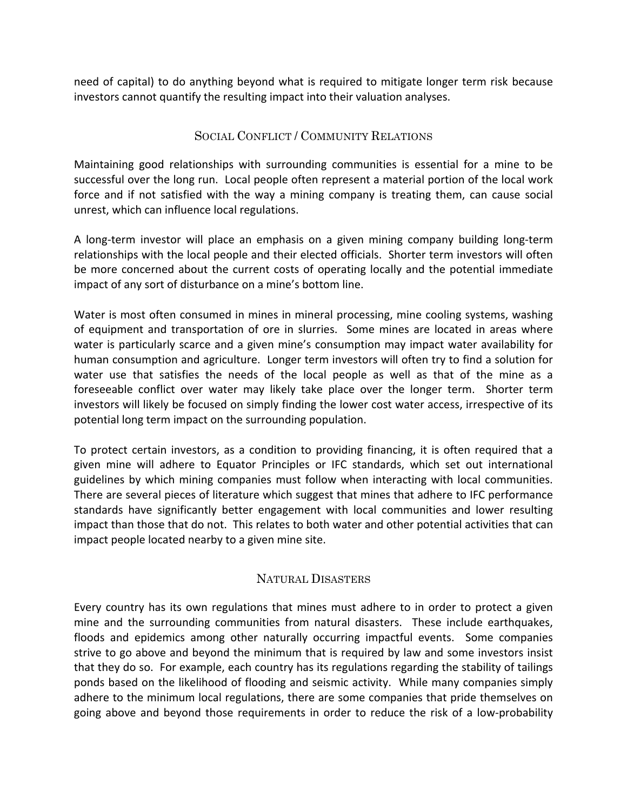need of capital) to do anything beyond what is required to mitigate longer term risk because investors cannot quantify the resulting impact into their valuation analyses.

#### SOCIAL CONFLICT / COMMUNITY RELATIONS

Maintaining good relationships with surrounding communities is essential for a mine to be successful over the long run. Local people often represent a material portion of the local work force and if not satisfied with the way a mining company is treating them, can cause social unrest, which can influence local regulations.

A long-term investor will place an emphasis on a given mining company building long-term relationships with the local people and their elected officials. Shorter term investors will often be more concerned about the current costs of operating locally and the potential immediate impact of any sort of disturbance on a mine's bottom line.

Water is most often consumed in mines in mineral processing, mine cooling systems, washing of equipment and transportation of ore in slurries. Some mines are located in areas where water is particularly scarce and a given mine's consumption may impact water availability for human consumption and agriculture. Longer term investors will often try to find a solution for water use that satisfies the needs of the local people as well as that of the mine as a foreseeable conflict over water may likely take place over the longer term. Shorter term investors will likely be focused on simply finding the lower cost water access, irrespective of its potential long term impact on the surrounding population.

To protect certain investors, as a condition to providing financing, it is often required that a given mine will adhere to Equator Principles or IFC standards, which set out international guidelines by which mining companies must follow when interacting with local communities. There are several pieces of literature which suggest that mines that adhere to IFC performance standards have significantly better engagement with local communities and lower resulting impact than those that do not. This relates to both water and other potential activities that can impact people located nearby to a given mine site.

## NATURAL DISASTERS

Every country has its own regulations that mines must adhere to in order to protect a given mine and the surrounding communities from natural disasters. These include earthquakes, floods and epidemics among other naturally occurring impactful events. Some companies strive to go above and beyond the minimum that is required by law and some investors insist that they do so. For example, each country has its regulations regarding the stability of tailings ponds based on the likelihood of flooding and seismic activity. While many companies simply adhere to the minimum local regulations, there are some companies that pride themselves on going above and beyond those requirements in order to reduce the risk of a low-probability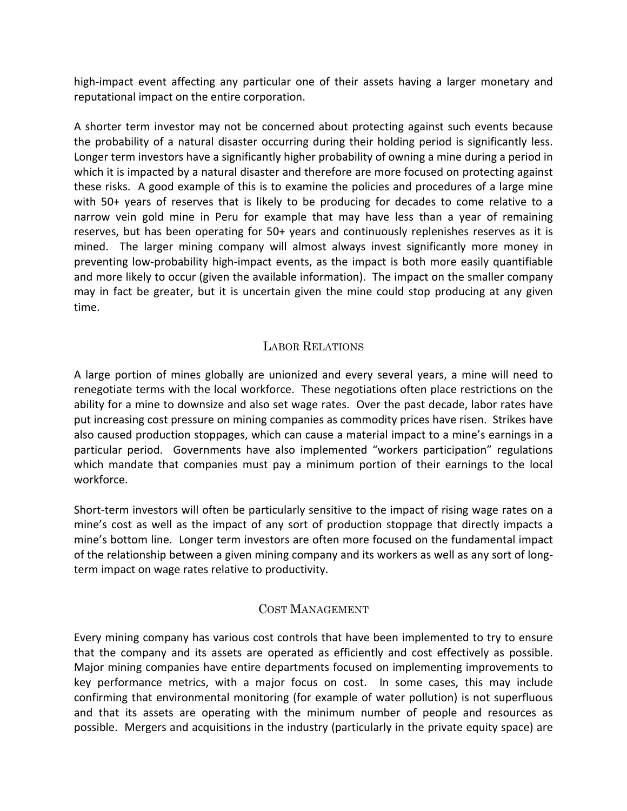high-impact event affecting any particular one of their assets having a larger monetary and reputational impact on the entire corporation.

A shorter term investor may not be concerned about protecting against such events because the probability of a natural disaster occurring during their holding period is significantly less. Longer term investors have a significantly higher probability of owning a mine during a period in which it is impacted by a natural disaster and therefore are more focused on protecting against these risks. A good example of this is to examine the policies and procedures of a large mine with  $50+$  years of reserves that is likely to be producing for decades to come relative to a narrow vein gold mine in Peru for example that may have less than a year of remaining reserves, but has been operating for 50+ years and continuously replenishes reserves as it is mined. The larger mining company will almost always invest significantly more money in preventing low-probability high-impact events, as the impact is both more easily quantifiable and more likely to occur (given the available information). The impact on the smaller company may in fact be greater, but it is uncertain given the mine could stop producing at any given time.

# LABOR RELATIONS

A large portion of mines globally are unionized and every several years, a mine will need to renegotiate terms with the local workforce. These negotiations often place restrictions on the ability for a mine to downsize and also set wage rates. Over the past decade, labor rates have put increasing cost pressure on mining companies as commodity prices have risen. Strikes have also caused production stoppages, which can cause a material impact to a mine's earnings in a particular period. Governments have also implemented "workers participation" regulations which mandate that companies must pay a minimum portion of their earnings to the local workforce.

Short-term investors will often be particularly sensitive to the impact of rising wage rates on a mine's cost as well as the impact of any sort of production stoppage that directly impacts a mine's bottom line. Longer term investors are often more focused on the fundamental impact of the relationship between a given mining company and its workers as well as any sort of longterm impact on wage rates relative to productivity.

## COST MANAGEMENT

Every mining company has various cost controls that have been implemented to try to ensure that the company and its assets are operated as efficiently and cost effectively as possible. Major mining companies have entire departments focused on implementing improvements to key performance metrics, with a major focus on cost. In some cases, this may include confirming that environmental monitoring (for example of water pollution) is not superfluous and that its assets are operating with the minimum number of people and resources as possible. Mergers and acquisitions in the industry (particularly in the private equity space) are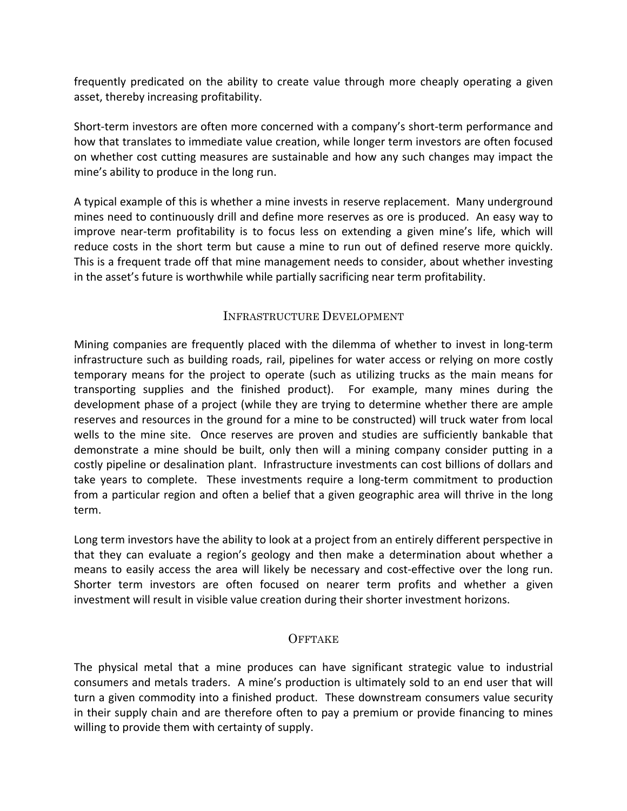frequently predicated on the ability to create value through more cheaply operating a given asset, thereby increasing profitability.

Short-term investors are often more concerned with a company's short-term performance and how that translates to immediate value creation, while longer term investors are often focused on whether cost cutting measures are sustainable and how any such changes may impact the mine's ability to produce in the long run.

A typical example of this is whether a mine invests in reserve replacement. Many underground mines need to continuously drill and define more reserves as ore is produced. An easy way to improve near-term profitability is to focus less on extending a given mine's life, which will reduce costs in the short term but cause a mine to run out of defined reserve more quickly. This is a frequent trade off that mine management needs to consider, about whether investing in the asset's future is worthwhile while partially sacrificing near term profitability.

## INFRASTRUCTURE DEVELOPMENT

Mining companies are frequently placed with the dilemma of whether to invest in long-term infrastructure such as building roads, rail, pipelines for water access or relying on more costly temporary means for the project to operate (such as utilizing trucks as the main means for transporting supplies and the finished product). For example, many mines during the development phase of a project (while they are trying to determine whether there are ample reserves and resources in the ground for a mine to be constructed) will truck water from local wells to the mine site. Once reserves are proven and studies are sufficiently bankable that demonstrate a mine should be built, only then will a mining company consider putting in a costly pipeline or desalination plant. Infrastructure investments can cost billions of dollars and take years to complete. These investments require a long-term commitment to production from a particular region and often a belief that a given geographic area will thrive in the long term.

Long term investors have the ability to look at a project from an entirely different perspective in that they can evaluate a region's geology and then make a determination about whether a means to easily access the area will likely be necessary and cost-effective over the long run. Shorter term investors are often focused on nearer term profits and whether a given investment will result in visible value creation during their shorter investment horizons.

## **OFFTAKE**

The physical metal that a mine produces can have significant strategic value to industrial consumers and metals traders. A mine's production is ultimately sold to an end user that will turn a given commodity into a finished product. These downstream consumers value security in their supply chain and are therefore often to pay a premium or provide financing to mines willing to provide them with certainty of supply.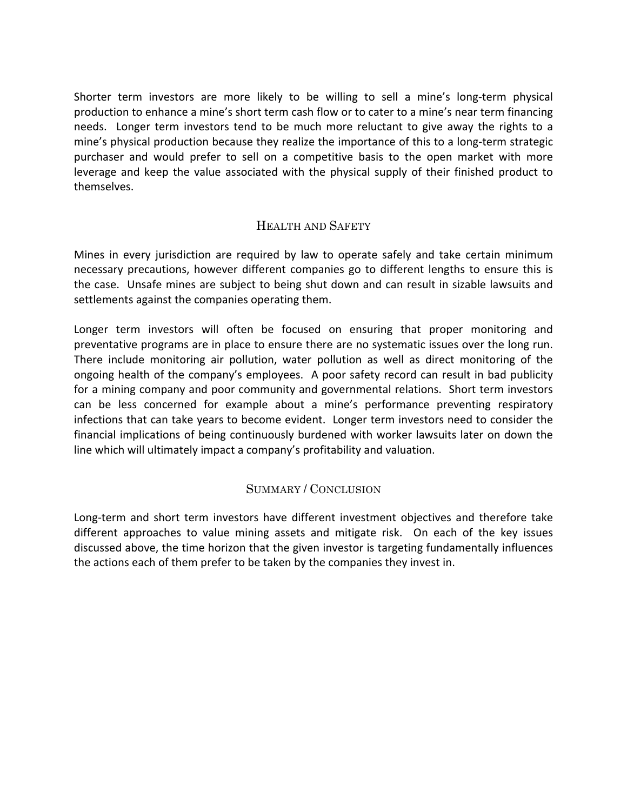Shorter term investors are more likely to be willing to sell a mine's long-term physical production to enhance a mine's short term cash flow or to cater to a mine's near term financing needs. Longer term investors tend to be much more reluctant to give away the rights to a mine's physical production because they realize the importance of this to a long-term strategic purchaser and would prefer to sell on a competitive basis to the open market with more leverage and keep the value associated with the physical supply of their finished product to themselves.

# HEALTH AND SAFETY

Mines in every jurisdiction are required by law to operate safely and take certain minimum necessary precautions, however different companies go to different lengths to ensure this is the case. Unsafe mines are subject to being shut down and can result in sizable lawsuits and settlements against the companies operating them.

Longer term investors will often be focused on ensuring that proper monitoring and preventative programs are in place to ensure there are no systematic issues over the long run. There include monitoring air pollution, water pollution as well as direct monitoring of the ongoing health of the company's employees. A poor safety record can result in bad publicity for a mining company and poor community and governmental relations. Short term investors can be less concerned for example about a mine's performance preventing respiratory infections that can take years to become evident. Longer term investors need to consider the financial implications of being continuously burdened with worker lawsuits later on down the line which will ultimately impact a company's profitability and valuation.

# SUMMARY / CONCLUSION

Long-term and short term investors have different investment objectives and therefore take different approaches to value mining assets and mitigate risk. On each of the key issues discussed above, the time horizon that the given investor is targeting fundamentally influences the actions each of them prefer to be taken by the companies they invest in.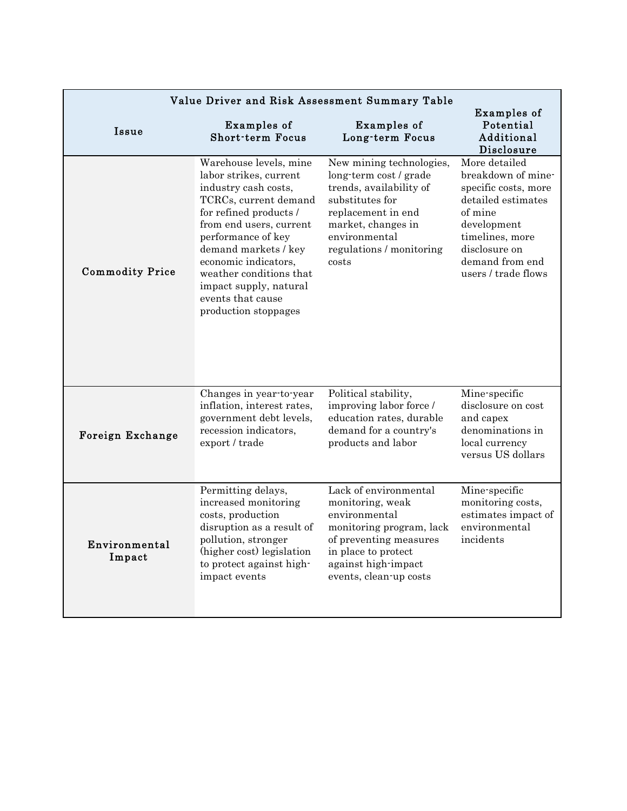| Value Driver and Risk Assessment Summary Table |                                                                                                                                                                                                                                                                                                                                |                                                                                                                                                                                                    |                                                                                                                                                                                           |  |  |
|------------------------------------------------|--------------------------------------------------------------------------------------------------------------------------------------------------------------------------------------------------------------------------------------------------------------------------------------------------------------------------------|----------------------------------------------------------------------------------------------------------------------------------------------------------------------------------------------------|-------------------------------------------------------------------------------------------------------------------------------------------------------------------------------------------|--|--|
| Issue                                          | Examples of<br><b>Short-term Focus</b>                                                                                                                                                                                                                                                                                         | Examples of<br>Long-term Focus                                                                                                                                                                     | Examples of<br>Potential<br>Additional<br>Disclosure                                                                                                                                      |  |  |
| <b>Commodity Price</b>                         | Warehouse levels, mine<br>labor strikes, current<br>industry cash costs,<br>TCRCs, current demand<br>for refined products /<br>from end users, current<br>performance of key<br>demand markets / key<br>economic indicators,<br>weather conditions that<br>impact supply, natural<br>events that cause<br>production stoppages | New mining technologies,<br>long-term cost / grade<br>trends, availability of<br>substitutes for<br>replacement in end<br>market, changes in<br>environmental<br>regulations / monitoring<br>costs | More detailed<br>breakdown of mine-<br>specific costs, more<br>detailed estimates<br>of mine<br>development<br>timelines, more<br>disclosure on<br>demand from end<br>users / trade flows |  |  |
| Foreign Exchange                               | Changes in year to year<br>inflation, interest rates,<br>government debt levels,<br>recession indicators,<br>export / trade                                                                                                                                                                                                    | Political stability,<br>improving labor force /<br>education rates, durable<br>demand for a country's<br>products and labor                                                                        | Mine-specific<br>disclosure on cost<br>and capex<br>denominations in<br>local currency<br>versus US dollars                                                                               |  |  |
| Environmental<br>Impact                        | Permitting delays,<br>increased monitoring<br>costs, production<br>disruption as a result of<br>pollution, stronger<br>(higher cost) legislation<br>to protect against high-<br>impact events                                                                                                                                  | Lack of environmental<br>monitoring, weak<br>environmental<br>monitoring program, lack<br>of preventing measures<br>in place to protect<br>against high impact<br>events, clean-up costs           | Mine-specific<br>monitoring costs,<br>estimates impact of<br>environmental<br>incidents                                                                                                   |  |  |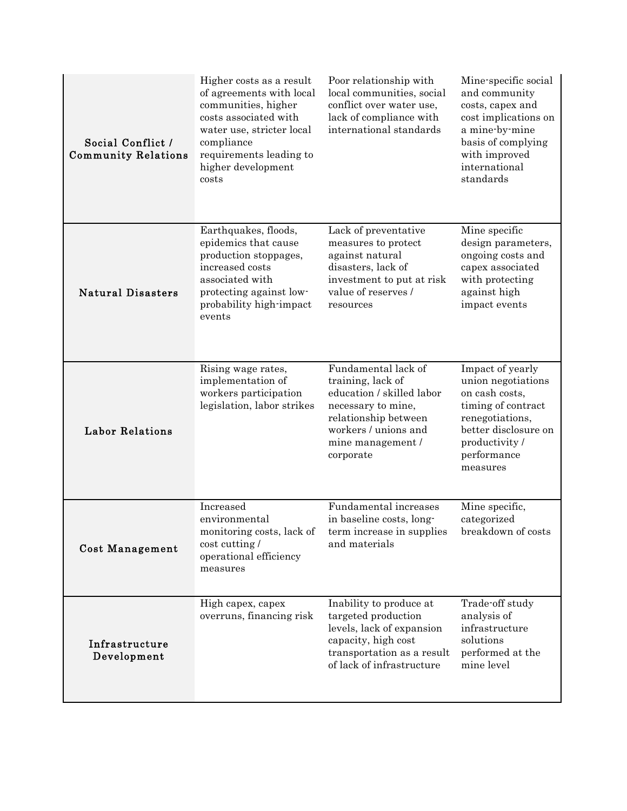| Social Conflict /<br><b>Community Relations</b> | Higher costs as a result<br>of agreements with local<br>communities, higher<br>costs associated with<br>water use, stricter local<br>compliance<br>requirements leading to<br>higher development<br>costs | Poor relationship with<br>local communities, social<br>conflict over water use,<br>lack of compliance with<br>international standards                                         | Mine specific social<br>and community<br>costs, capex and<br>cost implications on<br>a mine by mine<br>basis of complying<br>with improved<br>international<br>standards |
|-------------------------------------------------|-----------------------------------------------------------------------------------------------------------------------------------------------------------------------------------------------------------|-------------------------------------------------------------------------------------------------------------------------------------------------------------------------------|--------------------------------------------------------------------------------------------------------------------------------------------------------------------------|
| <b>Natural Disasters</b>                        | Earthquakes, floods,<br>epidemics that cause<br>production stoppages,<br>increased costs<br>associated with<br>protecting against low-<br>probability high-impact<br>events                               | Lack of preventative<br>measures to protect<br>against natural<br>disasters, lack of<br>investment to put at risk<br>value of reserves /<br>resources                         | Mine specific<br>design parameters,<br>ongoing costs and<br>capex associated<br>with protecting<br>against high<br>impact events                                         |
| <b>Labor Relations</b>                          | Rising wage rates,<br>implementation of<br>workers participation<br>legislation, labor strikes                                                                                                            | Fundamental lack of<br>training, lack of<br>education / skilled labor<br>necessary to mine,<br>relationship between<br>workers / unions and<br>mine management /<br>corporate | Impact of yearly<br>union negotiations<br>on cash costs,<br>timing of contract<br>renegotiations,<br>better disclosure on<br>productivity /<br>performance<br>measures   |
| <b>Cost Management</b>                          | Increased<br>environmental<br>monitoring costs, lack of<br>cost cutting /<br>operational efficiency<br>measures                                                                                           | Fundamental increases<br>in baseline costs, long-<br>term increase in supplies<br>and materials                                                                               | Mine specific,<br>categorized<br>breakdown of costs                                                                                                                      |
| Infrastructure<br>Development                   | High capex, capex<br>overruns, financing risk                                                                                                                                                             | Inability to produce at<br>targeted production<br>levels, lack of expansion<br>capacity, high cost<br>transportation as a result<br>of lack of infrastructure                 | Trade off study<br>analysis of<br>infrastructure<br>solutions<br>performed at the<br>mine level                                                                          |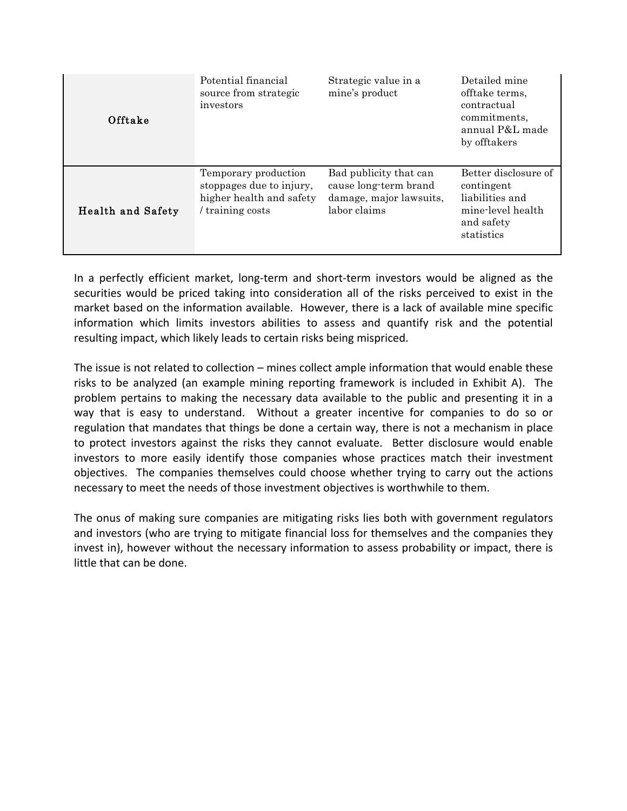| Offtake                  | Potential financial<br>source from strategic<br>investors                                        | Strategic value in a<br>mine's product                                                     | Detailed mine<br>offtake terms,<br>contractual<br>commitments.<br>annual P&L made<br>by offtakers      |
|--------------------------|--------------------------------------------------------------------------------------------------|--------------------------------------------------------------------------------------------|--------------------------------------------------------------------------------------------------------|
| <b>Health and Safety</b> | Temporary production<br>stoppages due to injury,<br>higher health and safety<br>/ training costs | Bad publicity that can<br>cause long-term brand<br>damage, major lawsuits,<br>labor claims | Better disclosure of<br>contingent<br>liabilities and<br>mine-level health<br>and safety<br>statistics |

In a perfectly efficient market, long-term and short-term investors would be aligned as the securities would be priced taking into consideration all of the risks perceived to exist in the market based on the information available. However, there is a lack of available mine specific information which limits investors abilities to assess and quantify risk and the potential resulting impact, which likely leads to certain risks being mispriced.

The issue is not related to collection – mines collect ample information that would enable these risks to be analyzed (an example mining reporting framework is included in Exhibit A). The problem pertains to making the necessary data available to the public and presenting it in a way that is easy to understand. Without a greater incentive for companies to do so or regulation that mandates that things be done a certain way, there is not a mechanism in place to protect investors against the risks they cannot evaluate. Better disclosure would enable investors to more easily identify those companies whose practices match their investment objectives. The companies themselves could choose whether trying to carry out the actions necessary to meet the needs of those investment objectives is worthwhile to them.

The onus of making sure companies are mitigating risks lies both with government regulators and investors (who are trying to mitigate financial loss for themselves and the companies they invest in), however without the necessary information to assess probability or impact, there is little that can be done.